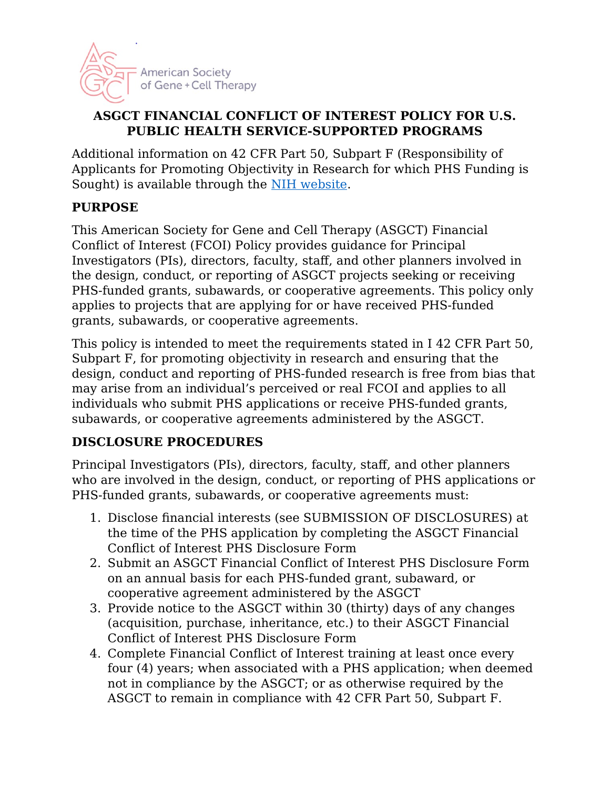

#### **ASGCT FINANCIAL CONFLICT OF INTEREST POLICY FOR U.S. PUBLIC HEALTH SERVICE-SUPPORTED PROGRAMS**

Additional information on 42 CFR Part 50, Subpart F (Responsibility of Applicants for Promoting Objectivity in Research for which PHS Funding is Sought) is available through the [NIH website.](https://grants.nih.gov/grants/policy/coi/index.htm)

## **PURPOSE**

This American Society for Gene and Cell Therapy (ASGCT) Financial Conflict of Interest (FCOI) Policy provides guidance for Principal Investigators (PIs), directors, faculty, staff, and other planners involved in the design, conduct, or reporting of ASGCT projects seeking or receiving PHS-funded grants, subawards, or cooperative agreements. This policy only applies to projects that are applying for or have received PHS-funded grants, subawards, or cooperative agreements.

This policy is intended to meet the requirements stated in I 42 CFR Part 50, Subpart F, for promoting objectivity in research and ensuring that the design, conduct and reporting of PHS-funded research is free from bias that may arise from an individual's perceived or real FCOI and applies to all individuals who submit PHS applications or receive PHS-funded grants, subawards, or cooperative agreements administered by the ASGCT.

## **DISCLOSURE PROCEDURES**

Principal Investigators (PIs), directors, faculty, staff, and other planners who are involved in the design, conduct, or reporting of PHS applications or PHS-funded grants, subawards, or cooperative agreements must:

- 1. Disclose financial interests (see SUBMISSION OF DISCLOSURES) at the time of the PHS application by completing the ASGCT Financial Conflict of Interest PHS Disclosure Form
- 2. Submit an ASGCT Financial Conflict of Interest PHS Disclosure Form on an annual basis for each PHS-funded grant, subaward, or cooperative agreement administered by the ASGCT
- 3. Provide notice to the ASGCT within 30 (thirty) days of any changes (acquisition, purchase, inheritance, etc.) to their ASGCT Financial Conflict of Interest PHS Disclosure Form
- 4. Complete Financial Conflict of Interest training at least once every four (4) years; when associated with a PHS application; when deemed not in compliance by the ASGCT; or as otherwise required by the ASGCT to remain in compliance with 42 CFR Part 50, Subpart F.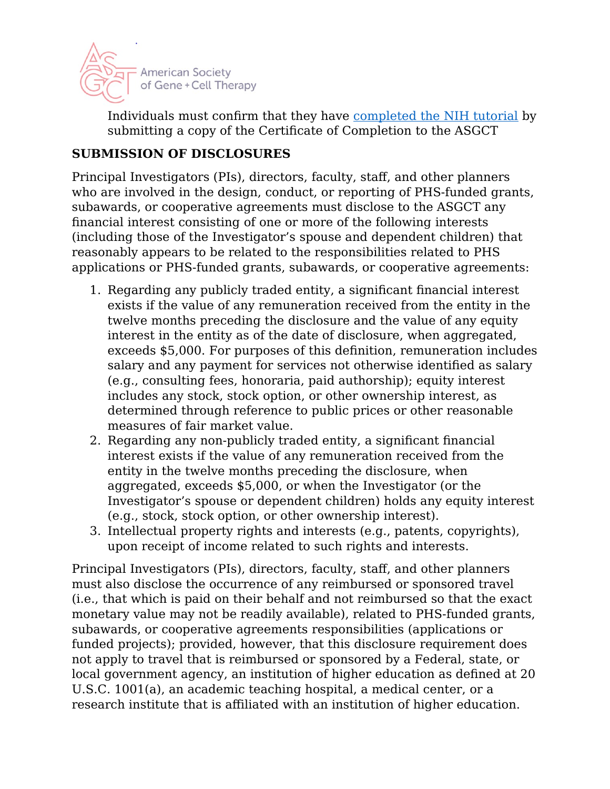

Individuals must confirm that they have [completed the NIH tutorial](https://grants.nih.gov/grants/policy/coi/tutorial2018/story_html5.html) by submitting a copy of the Certificate of Completion to the ASGCT

## **SUBMISSION OF DISCLOSURES**

Principal Investigators (PIs), directors, faculty, staff, and other planners who are involved in the design, conduct, or reporting of PHS-funded grants, subawards, or cooperative agreements must disclose to the ASGCT any financial interest consisting of one or more of the following interests (including those of the Investigator's spouse and dependent children) that reasonably appears to be related to the responsibilities related to PHS applications or PHS-funded grants, subawards, or cooperative agreements:

- 1. Regarding any publicly traded entity, a significant financial interest exists if the value of any remuneration received from the entity in the twelve months preceding the disclosure and the value of any equity interest in the entity as of the date of disclosure, when aggregated, exceeds \$5,000. For purposes of this definition, remuneration includes salary and any payment for services not otherwise identified as salary (e.g., consulting fees, honoraria, paid authorship); equity interest includes any stock, stock option, or other ownership interest, as determined through reference to public prices or other reasonable measures of fair market value.
- 2. Regarding any non-publicly traded entity, a significant financial interest exists if the value of any remuneration received from the entity in the twelve months preceding the disclosure, when aggregated, exceeds \$5,000, or when the Investigator (or the Investigator's spouse or dependent children) holds any equity interest (e.g., stock, stock option, or other ownership interest).
- 3. Intellectual property rights and interests (e.g., patents, copyrights), upon receipt of income related to such rights and interests.

Principal Investigators (PIs), directors, faculty, staff, and other planners must also disclose the occurrence of any reimbursed or sponsored travel (i.e., that which is paid on their behalf and not reimbursed so that the exact monetary value may not be readily available), related to PHS-funded grants, subawards, or cooperative agreements responsibilities (applications or funded projects); provided, however, that this disclosure requirement does not apply to travel that is reimbursed or sponsored by a Federal, state, or local government agency, an institution of higher education as defined at 20 U.S.C. 1001(a), an academic teaching hospital, a medical center, or a research institute that is affiliated with an institution of higher education.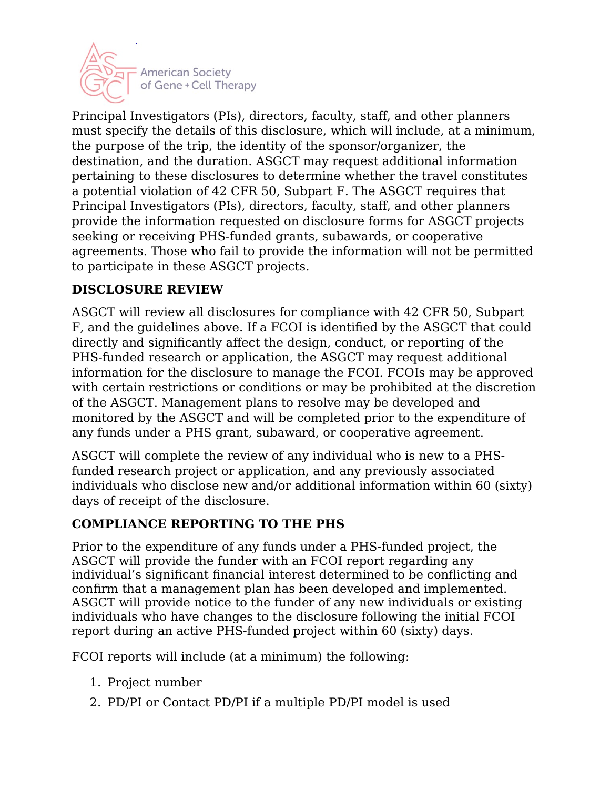

Principal Investigators (PIs), directors, faculty, staff, and other planners must specify the details of this disclosure, which will include, at a minimum, the purpose of the trip, the identity of the sponsor/organizer, the destination, and the duration. ASGCT may request additional information pertaining to these disclosures to determine whether the travel constitutes a potential violation of 42 CFR 50, Subpart F. The ASGCT requires that Principal Investigators (PIs), directors, faculty, staff, and other planners provide the information requested on disclosure forms for ASGCT projects seeking or receiving PHS-funded grants, subawards, or cooperative agreements. Those who fail to provide the information will not be permitted to participate in these ASGCT projects.

## **DISCLOSURE REVIEW**

ASGCT will review all disclosures for compliance with 42 CFR 50, Subpart F, and the guidelines above. If a FCOI is identified by the ASGCT that could directly and significantly affect the design, conduct, or reporting of the PHS-funded research or application, the ASGCT may request additional information for the disclosure to manage the FCOI. FCOIs may be approved with certain restrictions or conditions or may be prohibited at the discretion of the ASGCT. Management plans to resolve may be developed and monitored by the ASGCT and will be completed prior to the expenditure of any funds under a PHS grant, subaward, or cooperative agreement.

ASGCT will complete the review of any individual who is new to a PHSfunded research project or application, and any previously associated individuals who disclose new and/or additional information within 60 (sixty) days of receipt of the disclosure.

## **COMPLIANCE REPORTING TO THE PHS**

Prior to the expenditure of any funds under a PHS-funded project, the ASGCT will provide the funder with an FCOI report regarding any individual's significant financial interest determined to be conflicting and confirm that a management plan has been developed and implemented. ASGCT will provide notice to the funder of any new individuals or existing individuals who have changes to the disclosure following the initial FCOI report during an active PHS-funded project within 60 (sixty) days.

FCOI reports will include (at a minimum) the following:

- 1. Project number
- 2. PD/PI or Contact PD/PI if a multiple PD/PI model is used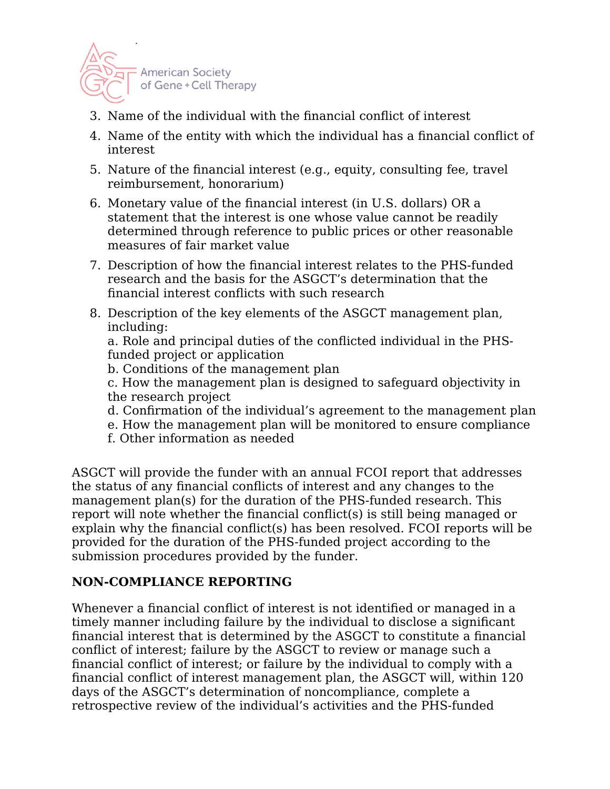

- 3. Name of the individual with the financial conflict of interest
- 4. Name of the entity with which the individual has a financial conflict of interest
- 5. Nature of the financial interest (e.g., equity, consulting fee, travel reimbursement, honorarium)
- 6. Monetary value of the financial interest (in U.S. dollars) OR a statement that the interest is one whose value cannot be readily determined through reference to public prices or other reasonable measures of fair market value
- 7. Description of how the financial interest relates to the PHS-funded research and the basis for the ASGCT's determination that the financial interest conflicts with such research
- 8. Description of the key elements of the ASGCT management plan, including:

a. Role and principal duties of the conflicted individual in the PHSfunded project or application

b. Conditions of the management plan

c. How the management plan is designed to safeguard objectivity in the research project

- d. Confirmation of the individual's agreement to the management plan
- e. How the management plan will be monitored to ensure compliance
- f. Other information as needed

ASGCT will provide the funder with an annual FCOI report that addresses the status of any financial conflicts of interest and any changes to the management plan(s) for the duration of the PHS-funded research. This report will note whether the financial conflict(s) is still being managed or explain why the financial conflict(s) has been resolved. FCOI reports will be provided for the duration of the PHS-funded project according to the submission procedures provided by the funder.

#### **NON-COMPLIANCE REPORTING**

Whenever a financial conflict of interest is not identified or managed in a timely manner including failure by the individual to disclose a significant financial interest that is determined by the ASGCT to constitute a financial conflict of interest; failure by the ASGCT to review or manage such a financial conflict of interest; or failure by the individual to comply with a financial conflict of interest management plan, the ASGCT will, within 120 days of the ASGCT's determination of noncompliance, complete a retrospective review of the individual's activities and the PHS-funded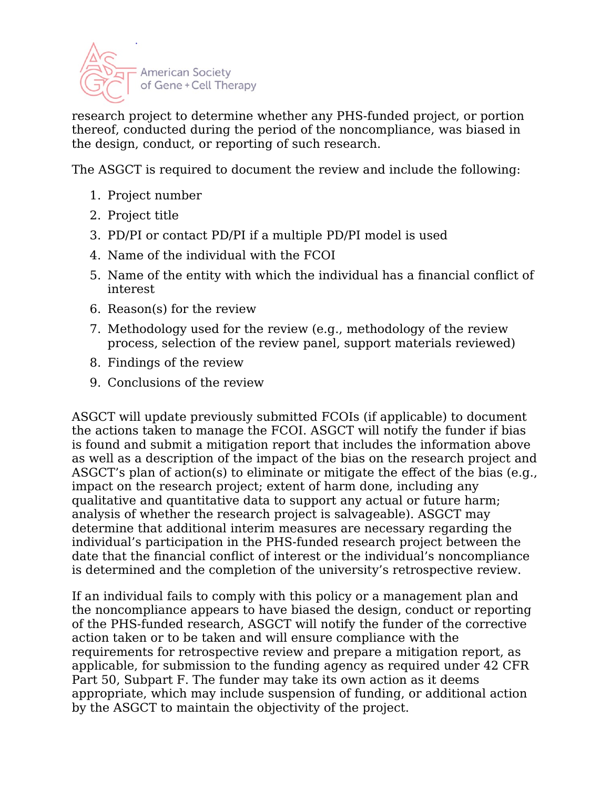

research project to determine whether any PHS-funded project, or portion thereof, conducted during the period of the noncompliance, was biased in the design, conduct, or reporting of such research.

The ASGCT is required to document the review and include the following:

- 1. Project number
- 2. Project title
- 3. PD/PI or contact PD/PI if a multiple PD/PI model is used
- 4. Name of the individual with the FCOI
- 5. Name of the entity with which the individual has a financial conflict of interest
- 6. Reason(s) for the review
- 7. Methodology used for the review (e.g., methodology of the review process, selection of the review panel, support materials reviewed)
- 8. Findings of the review
- 9. Conclusions of the review

ASGCT will update previously submitted FCOIs (if applicable) to document the actions taken to manage the FCOI. ASGCT will notify the funder if bias is found and submit a mitigation report that includes the information above as well as a description of the impact of the bias on the research project and ASGCT's plan of action(s) to eliminate or mitigate the effect of the bias (e.g., impact on the research project; extent of harm done, including any qualitative and quantitative data to support any actual or future harm; analysis of whether the research project is salvageable). ASGCT may determine that additional interim measures are necessary regarding the individual's participation in the PHS-funded research project between the date that the financial conflict of interest or the individual's noncompliance is determined and the completion of the university's retrospective review.

If an individual fails to comply with this policy or a management plan and the noncompliance appears to have biased the design, conduct or reporting of the PHS-funded research, ASGCT will notify the funder of the corrective action taken or to be taken and will ensure compliance with the requirements for retrospective review and prepare a mitigation report, as applicable, for submission to the funding agency as required under 42 CFR Part 50, Subpart F. The funder may take its own action as it deems appropriate, which may include suspension of funding, or additional action by the ASGCT to maintain the objectivity of the project.